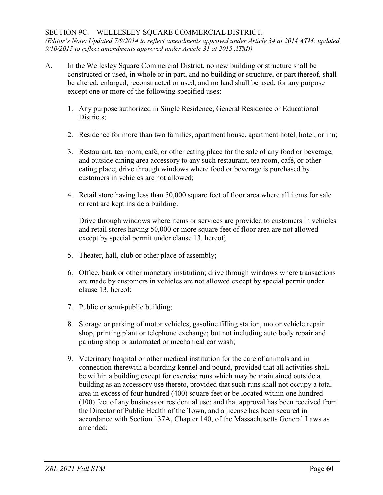## SECTION 9C. WELLESLEY SQUARE COMMERCIAL DISTRICT.

*(Editor's Note: Updated 7/9/2014 to reflect amendments approved under Article 34 at 2014 ATM; updated 9/10/2015 to reflect amendments approved under Article 31 at 2015 ATM))*

- A. In the Wellesley Square Commercial District, no new building or structure shall be constructed or used, in whole or in part, and no building or structure, or part thereof, shall be altered, enlarged, reconstructed or used, and no land shall be used, for any purpose except one or more of the following specified uses:
	- 1. Any purpose authorized in Single Residence, General Residence or Educational Districts;
	- 2. Residence for more than two families, apartment house, apartment hotel, hotel, or inn;
	- 3. Restaurant, tea room, café, or other eating place for the sale of any food or beverage, and outside dining area accessory to any such restaurant, tea room, café, or other eating place; drive through windows where food or beverage is purchased by customers in vehicles are not allowed;
	- 4. Retail store having less than 50,000 square feet of floor area where all items for sale or rent are kept inside a building.

Drive through windows where items or services are provided to customers in vehicles and retail stores having 50,000 or more square feet of floor area are not allowed except by special permit under clause 13. hereof;

- 5. Theater, hall, club or other place of assembly;
- 6. Office, bank or other monetary institution; drive through windows where transactions are made by customers in vehicles are not allowed except by special permit under clause 13. hereof;
- 7. Public or semi-public building;
- 8. Storage or parking of motor vehicles, gasoline filling station, motor vehicle repair shop, printing plant or telephone exchange; but not including auto body repair and painting shop or automated or mechanical car wash;
- 9. Veterinary hospital or other medical institution for the care of animals and in connection therewith a boarding kennel and pound, provided that all activities shall be within a building except for exercise runs which may be maintained outside a building as an accessory use thereto, provided that such runs shall not occupy a total area in excess of four hundred (400) square feet or be located within one hundred (100) feet of any business or residential use; and that approval has been received from the Director of Public Health of the Town, and a license has been secured in accordance with Section 137A, Chapter 140, of the Massachusetts General Laws as amended;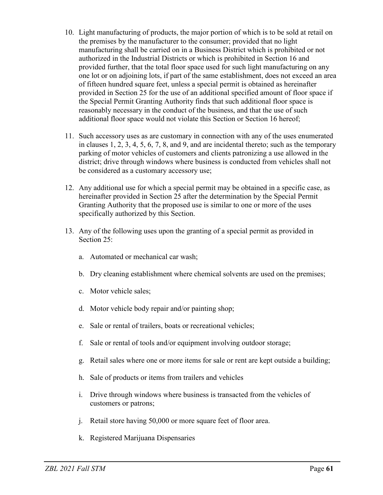- 10. Light manufacturing of products, the major portion of which is to be sold at retail on the premises by the manufacturer to the consumer; provided that no light manufacturing shall be carried on in a Business District which is prohibited or not authorized in the Industrial Districts or which is prohibited in Section 16 and provided further, that the total floor space used for such light manufacturing on any one lot or on adjoining lots, if part of the same establishment, does not exceed an area of fifteen hundred square feet, unless a special permit is obtained as hereinafter provided in Section 25 for the use of an additional specified amount of floor space if the Special Permit Granting Authority finds that such additional floor space is reasonably necessary in the conduct of the business, and that the use of such additional floor space would not violate this Section or Section 16 hereof;
- 11. Such accessory uses as are customary in connection with any of the uses enumerated in clauses 1, 2, 3, 4, 5, 6, 7, 8, and 9, and are incidental thereto; such as the temporary parking of motor vehicles of customers and clients patronizing a use allowed in the district; drive through windows where business is conducted from vehicles shall not be considered as a customary accessory use;
- 12. Any additional use for which a special permit may be obtained in a specific case, as hereinafter provided in Section 25 after the determination by the Special Permit Granting Authority that the proposed use is similar to one or more of the uses specifically authorized by this Section.
- 13. Any of the following uses upon the granting of a special permit as provided in Section 25:
	- a. Automated or mechanical car wash;
	- b. Dry cleaning establishment where chemical solvents are used on the premises;
	- c. Motor vehicle sales;
	- d. Motor vehicle body repair and/or painting shop;
	- e. Sale or rental of trailers, boats or recreational vehicles;
	- f. Sale or rental of tools and/or equipment involving outdoor storage;
	- g. Retail sales where one or more items for sale or rent are kept outside a building;
	- h. Sale of products or items from trailers and vehicles
	- i. Drive through windows where business is transacted from the vehicles of customers or patrons;
	- j. Retail store having 50,000 or more square feet of floor area.
	- k. Registered Marijuana Dispensaries